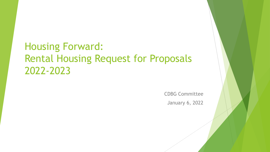## Housing Forward: Rental Housing Request for Proposals 2022-2023

CDBG Committee January 6, 2022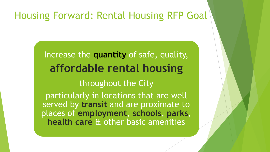#### Housing Forward: Rental Housing RFP Goal

Increase the **quantity** of safe, quality, **affordable rental housing** throughout the City particularly in locations that are well served by **transit** and are proximate to places of **employment**, **schools**, **parks**, **health care** & other basic amenities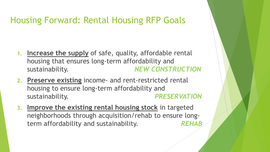#### Housing Forward: Rental Housing RFP Goals

- **1. Increase the supply** of safe, quality, affordable rental housing that ensures long-term affordability and sustainability. *NEW CONSTRUCTION*
- **2. Preserve existing** income- and rent-restricted rental housing to ensure long-term affordability and sustainability. *PRESERVATION*
- **3. Improve the existing rental housing stock** in targeted neighborhoods through acquisition/rehab to ensure longterm affordability and sustainability. *REHAB*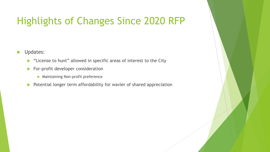# Highlights of Changes Since 2020 RFP

**D** Updates:

- **EXA** "License to hunt" allowed in specific areas of interest to the City
- For-profit developer consideration
	- **Maintaining Non-profit preference**
- Potential longer term affordability for wavier of shared appreciation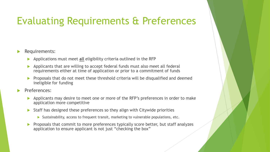# Evaluating Requirements & Preferences

- Requirements:
	- Applications must meet **all** eligibility criteria outlined in the RFP
	- Applicants that are willing to accept federal funds must also meet all federal requirements either at time of application or prior to a commitment of funds
	- Proposals that do not meet these threshold criteria will be disqualified and deemed ineligible for funding
- Preferences:
	- Applicants may desire to meet one or more of the RFP's preferences in order to make application more competitive
	- Staff has designed these preferences so they align with Citywide priorities
		- $\triangleright$  Sustainability, access to frequent transit, marketing to vulnerable populations, etc.
	- **Proposals that commit to more preferences typically score better, but staff analyzes** application to ensure applicant is not just "checking the box"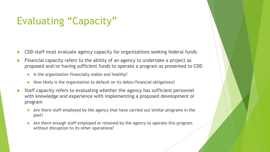## Evaluating "Capacity"

- CDD staff must evaluate agency capacity for organizations seeking federal funds
- Financial capacity refers to the ability of an agency to undertake a project as proposed and/or having sufficient funds to operate a program as presented to CDD
	- $\blacktriangleright$  Is the organization financially stable and healthy?
	- ▶ How likely is the organization to default on its debts/financial obligations?
- Staff capacity refers to evaluating whether the agency has sufficient personnel with knowledge and experience with implementing a proposed development or program
	- Are there staff employed by the agency that have carried out similar programs in the past?
	- Are there enough staff employed or retained by the agency to operate this program without disruption to its other operations?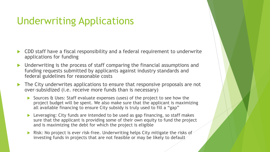# Underwriting Applications

- CDD staff have a fiscal responsibility and a federal requirement to underwrite applications for funding
- Underwriting is the process of staff comparing the financial assumptions and funding requests submitted by applicants against industry standards and federal guidelines for reasonable costs
- The City underwrites applications to ensure that responsive proposals are not over-subsidized (i.e. receive more funds than is necessary)
	- Sources & Uses: Staff evaluate expenses (uses) of the project to see how the project budget will be spent. We also make sure that the applicant is maximizing all available financing to ensure City subsidy is truly used to fill a "gap"
	- Leveraging: City funds are intended to be used as gap financing, so staff makes sure that the applicant is providing some of their own equity to fund the project and is maximizing the debt for which the project is eligible
	- Risk: No project is ever risk-free. Underwriting helps City mitigate the risks of investing funds in projects that are not feasible or may be likely to default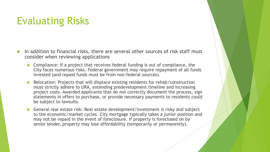### Evaluating Risks

- In addition to financial risks, there are several other sources of risk staff must consider when reviewing applications
	- ▶ Compliance: If a project that receives federal funding is out of compliance, the City faces numerous risks. Federal government may require repayment of all funds invested (and repaid funds must be from non-federal sources).
	- Relocation: Projects that will displace existing residents for rehab/construction must strictly adhere to URA, extending predevelopment timeline and increasing project costs. Awarded applicants that do not correctly document the process, sign statements in offers to purchase, or provide necessary payments to residents could be subject to lawsuits.
	- General real estate risk: Real estate development/investment is risky and subject to the economic/market cycles. City mortgage typically takes a junior position and may not be repaid in the event of foreclosure. If property is foreclosed on by senior lender, property may lose affordability (temporarily or permanently).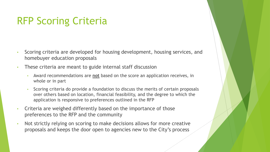## RFP Scoring Criteria

- Scoring criteria are developed for housing development, housing services, and homebuyer education proposals
- These criteria are meant to guide internal staff discussion
	- Award recommendations are **not** based on the score an application receives, in whole or in part
	- Scoring criteria do provide a foundation to discuss the merits of certain proposals over others based on location, financial feasibility, and the degree to which the application is responsive to preferences outlined in the RFP
- Criteria are weighed differently based on the importance of those preferences to the RFP and the community
- Not strictly relying on scoring to make decisions allows for more creative proposals and keeps the door open to agencies new to the City's process